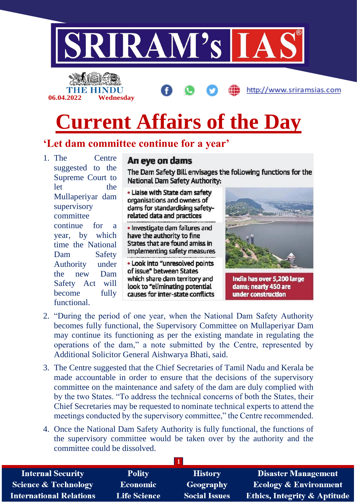

**06.04.2022 Wednesday**

http://www.sriramsias.com

# **Current Affairs of the Day**

## **'Let dam committee continue for a year'**

1. The Centre suggested to the Supreme Court to let the Mullaperiyar dam supervisory committee continue for a year, by which time the National Dam Safety Authority under the new Dam Safety Act will become fully functional.

### An eve on dams

The Dam Safety Bill envisages the following functions for the National Dam Safety Authority:

. Liaise with State dam safety organisations and owners of dams for standardising safetyrelated data and practices 

· Investigate dam failures and have the authority to fine States that are found amiss in implementing safety measures

. Look into "unresolved points of issue" between States which share dam territory and look to "eliminating potential causes for inter-state conflicts



India has over 5,200 large dams; nearty 450 are under construction

- 2. "During the period of one year, when the National Dam Safety Authority becomes fully functional, the Supervisory Committee on Mullaperiyar Dam may continue its functioning as per the existing mandate in regulating the operations of the dam," a note submitted by the Centre, represented by Additional Solicitor General Aishwarya Bhati, said.
- 3. The Centre suggested that the Chief Secretaries of Tamil Nadu and Kerala be made accountable in order to ensure that the decisions of the supervisory committee on the maintenance and safety of the dam are duly complied with by the two States. "To address the technical concerns of both the States, their Chief Secretaries may be requested to nominate technical experts to attend the meetings conducted by the supervisory committee," the Centre recommended.
- 4. Once the National Dam Safety Authority is fully functional, the functions of the supervisory committee would be taken over by the authority and the committee could be dissolved.

| <b>Internal Security</b>        | <b>Polity</b>       | <b>History</b>       | <b>Disaster Management</b>              |
|---------------------------------|---------------------|----------------------|-----------------------------------------|
| <b>Science &amp; Technology</b> | <b>Economic</b>     | <b>Geography</b>     | <b>Ecology &amp; Environment</b>        |
| <b>International Relations</b>  | <b>Life Science</b> | <b>Social Issues</b> | <b>Ethics, Integrity &amp; Aptitude</b> |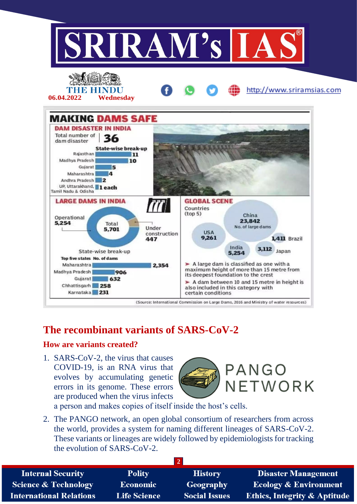

## **The recombinant variants of SARS-CoV-2**

#### **How are variants created?**

1. SARS-CoV-2, the virus that causes COVID-19, is an RNA virus that evolves by accumulating genetic errors in its genome. These errors are produced when the virus infects



a person and makes copies of itself inside the host's cells.

2. The PANGO network, an open global consortium of researchers from across the world, provides a system for naming different lineages of SARS-CoV-2. These variants or lineages are widely followed by epidemiologists for tracking the evolution of SARS-CoV-2.

| <b>Internal Security</b>        | <b>Polity</b>       | <b>History</b>       | <b>Disaster Management</b>              |  |
|---------------------------------|---------------------|----------------------|-----------------------------------------|--|
| <b>Science &amp; Technology</b> | <b>Economic</b>     | Geography            | <b>Ecology &amp; Environment</b>        |  |
| <b>International Relations</b>  | <b>Life Science</b> | <b>Social Issues</b> | <b>Ethics, Integrity &amp; Aptitude</b> |  |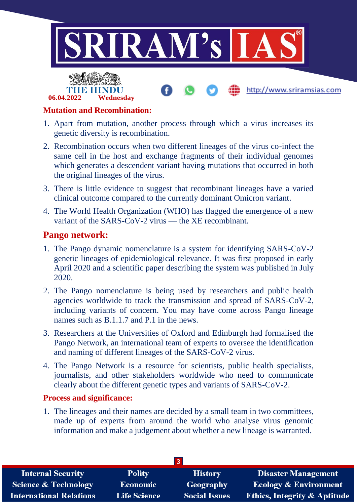



**06.04.2022 Wednesday**

- 1. Apart from mutation, another process through which a virus increases its genetic diversity is recombination.
- 2. Recombination occurs when two different lineages of the virus co-infect the same cell in the host and exchange fragments of their individual genomes which generates a descendent variant having mutations that occurred in both the original lineages of the virus.
- 3. There is little evidence to suggest that recombinant lineages have a varied clinical outcome compared to the currently dominant Omicron variant.
- 4. The World Health Organization (WHO) has flagged the emergence of a new variant of the SARS-CoV-2 virus — the XE recombinant.

### **Pango network:**

- 1. The Pango dynamic nomenclature is a system for identifying SARS-CoV-2 genetic lineages of epidemiological relevance. It was first proposed in early April 2020 and a scientific paper describing the system was published in July 2020.
- 2. The Pango nomenclature is being used by researchers and public health agencies worldwide to track the transmission and spread of SARS-CoV-2, including variants of concern. You may have come across Pango lineage names such as B.1.1.7 and P.1 in the news.
- 3. Researchers at the Universities of Oxford and Edinburgh had formalised the Pango Network, an international team of experts to oversee the identification and naming of different lineages of the SARS-CoV-2 virus.
- 4. The Pango Network is a resource for scientists, public health specialists, journalists, and other stakeholders worldwide who need to communicate clearly about the different genetic types and variants of SARS-CoV-2.

#### **Process and significance:**

1. The lineages and their names are decided by a small team in two committees, made up of experts from around the world who analyse virus genomic information and make a judgement about whether a new lineage is warranted.

| <b>Internal Security</b>        | <b>Polity</b>       | <b>History</b>       | <b>Disaster Management</b>              |  |
|---------------------------------|---------------------|----------------------|-----------------------------------------|--|
| <b>Science &amp; Technology</b> | <b>Economic</b>     | Geography            | <b>Ecology &amp; Environment</b>        |  |
| <b>International Relations</b>  | <b>Life Science</b> | <b>Social Issues</b> | <b>Ethics, Integrity &amp; Aptitude</b> |  |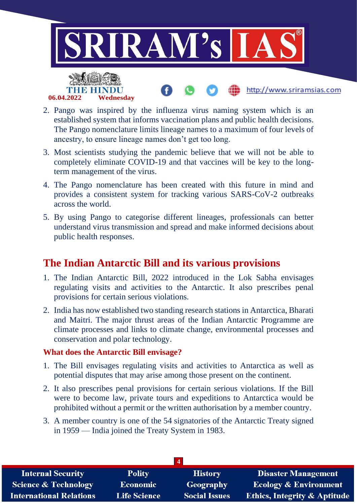

- 2. Pango was inspired by the influenza virus naming system which is an established system that informs vaccination plans and public health decisions. The Pango nomenclature limits lineage names to a maximum of four levels of ancestry, to ensure lineage names don't get too long.
- 3. Most scientists studying the pandemic believe that we will not be able to completely eliminate COVID-19 and that vaccines will be key to the longterm management of the virus.
- 4. The Pango nomenclature has been created with this future in mind and provides a consistent system for tracking various SARS-CoV-2 outbreaks across the world.
- 5. By using Pango to categorise different lineages, professionals can better understand virus transmission and spread and make informed decisions about public health responses.

## **The Indian Antarctic Bill and its various provisions**

- 1. The Indian Antarctic Bill, 2022 introduced in the Lok Sabha envisages regulating visits and activities to the Antarctic. It also prescribes penal provisions for certain serious violations.
- 2. India has now established two standing research stations in Antarctica, Bharati and Maitri. The major thrust areas of the Indian Antarctic Programme are climate processes and links to climate change, environmental processes and conservation and polar technology.

#### **What does the Antarctic Bill envisage?**

- 1. The Bill envisages regulating visits and activities to Antarctica as well as potential disputes that may arise among those present on the continent.
- 2. It also prescribes penal provisions for certain serious violations. If the Bill were to become law, private tours and expeditions to Antarctica would be prohibited without a permit or the written authorisation by a member country.
- 3. A member country is one of the 54 signatories of the Antarctic Treaty signed in 1959 — India joined the Treaty System in 1983.

| <b>Internal Security</b>        | <b>Polity</b>       | <b>History</b>       | <b>Disaster Management</b>              |  |
|---------------------------------|---------------------|----------------------|-----------------------------------------|--|
| <b>Science &amp; Technology</b> | Economic            | Geography            | <b>Ecology &amp; Environment</b>        |  |
| <b>International Relations</b>  | <b>Life Science</b> | <b>Social Issues</b> | <b>Ethics, Integrity &amp; Aptitude</b> |  |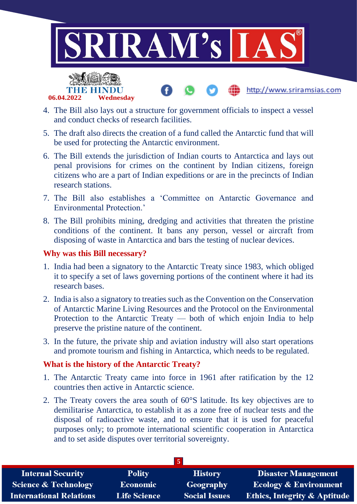

http://www.sriramsias.com



- 4. The Bill also lays out a structure for government officials to inspect a vessel and conduct checks of research facilities.
- 5. The draft also directs the creation of a fund called the Antarctic fund that will be used for protecting the Antarctic environment.
- 6. The Bill extends the jurisdiction of Indian courts to Antarctica and lays out penal provisions for crimes on the continent by Indian citizens, foreign citizens who are a part of Indian expeditions or are in the precincts of Indian research stations.
- 7. The Bill also establishes a 'Committee on Antarctic Governance and Environmental Protection.'
- 8. The Bill prohibits mining, dredging and activities that threaten the pristine conditions of the continent. It bans any person, vessel or aircraft from disposing of waste in Antarctica and bars the testing of nuclear devices.

#### **Why was this Bill necessary?**

- 1. India had been a signatory to the Antarctic Treaty since 1983, which obliged it to specify a set of laws governing portions of the continent where it had its research bases.
- 2. India is also a signatory to treaties such as the Convention on the Conservation of Antarctic Marine Living Resources and the Protocol on the Environmental Protection to the Antarctic Treaty — both of which enjoin India to help preserve the pristine nature of the continent.
- 3. In the future, the private ship and aviation industry will also start operations and promote tourism and fishing in Antarctica, which needs to be regulated.

#### **What is the history of the Antarctic Treaty?**

- 1. The Antarctic Treaty came into force in 1961 after ratification by the 12 countries then active in Antarctic science.
- 2. The Treaty covers the area south of 60°S latitude. Its key objectives are to demilitarise Antarctica, to establish it as a zone free of nuclear tests and the disposal of radioactive waste, and to ensure that it is used for peaceful purposes only; to promote international scientific cooperation in Antarctica and to set aside disputes over territorial sovereignty.

| <b>Internal Security</b>       | <b>Polity</b>       | <b>History</b>       | <b>Disaster Management</b>              |  |
|--------------------------------|---------------------|----------------------|-----------------------------------------|--|
| Science & Technology           | <b>Economic</b>     | <b>Geography</b>     | <b>Ecology &amp; Environment</b>        |  |
| <b>International Relations</b> | <b>Life Science</b> | <b>Social Issues</b> | <b>Ethics, Integrity &amp; Aptitude</b> |  |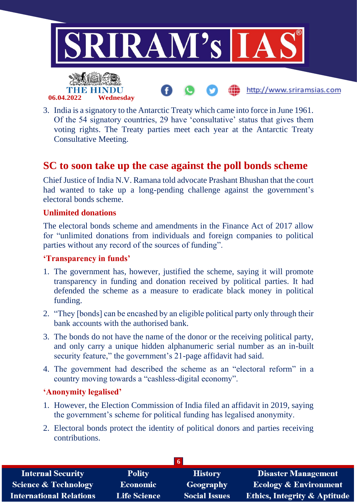

3. India is a signatory to the Antarctic Treaty which came into force in June 1961. Of the 54 signatory countries, 29 have 'consultative' status that gives them voting rights. The Treaty parties meet each year at the Antarctic Treaty Consultative Meeting.

## **SC to soon take up the case against the poll bonds scheme**

Chief Justice of India N.V. Ramana told advocate Prashant Bhushan that the court had wanted to take up a long-pending challenge against the government's electoral bonds scheme.

#### **Unlimited donations**

The electoral bonds scheme and amendments in the Finance Act of 2017 allow for "unlimited donations from individuals and foreign companies to political parties without any record of the sources of funding".

#### **'Transparency in funds'**

- 1. The government has, however, justified the scheme, saying it will promote transparency in funding and donation received by political parties. It had defended the scheme as a measure to eradicate black money in political funding.
- 2. "They [bonds] can be encashed by an eligible political party only through their bank accounts with the authorised bank.
- 3. The bonds do not have the name of the donor or the receiving political party, and only carry a unique hidden alphanumeric serial number as an in-built security feature," the government's 21-page affidavit had said.
- 4. The government had described the scheme as an "electoral reform" in a country moving towards a "cashless-digital economy".

#### **'Anonymity legalised'**

- 1. However, the Election Commission of India filed an affidavit in 2019, saying the government's scheme for political funding has legalised anonymity.
- 2. Electoral bonds protect the identity of political donors and parties receiving contributions.

| <b>Internal Security</b>        | <b>Polity</b>       | <b>History</b>       | <b>Disaster Management</b>              |
|---------------------------------|---------------------|----------------------|-----------------------------------------|
| <b>Science &amp; Technology</b> | <b>Economic</b>     | <b>Geography</b>     | <b>Ecology &amp; Environment</b>        |
| <b>International Relations</b>  | <b>Life Science</b> | <b>Social Issues</b> | <b>Ethics, Integrity &amp; Aptitude</b> |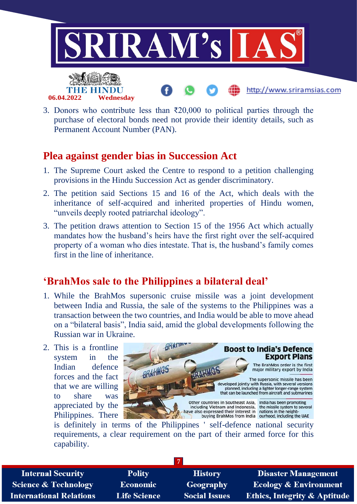

3. Donors who contribute less than  $\bar{\chi}$ 20,000 to political parties through the purchase of electoral bonds need not provide their identity details, such as Permanent Account Number (PAN).

## **Plea against gender bias in Succession Act**

- 1. The Supreme Court asked the Centre to respond to a petition challenging provisions in the Hindu Succession Act as gender discriminatory.
- 2. The petition said Sections 15 and 16 of the Act, which deals with the inheritance of self-acquired and inherited properties of Hindu women, "unveils deeply rooted patriarchal ideology".
- 3. The petition draws attention to Section 15 of the 1956 Act which actually mandates how the husband's heirs have the first right over the self-acquired property of a woman who dies intestate. That is, the husband's family comes first in the line of inheritance.

## **'BrahMos sale to the Philippines a bilateral deal'**

- 1. While the BrahMos supersonic cruise missile was a joint development between India and Russia, the sale of the systems to the Philippines was a transaction between the two countries, and India would be able to move ahead on a "bilateral basis", India said, amid the global developments following the Russian war in Ukraine.
- 2. This is a frontline system in the Indian defence forces and the fact that we are willing to share was appreciated by the Philippines. There



is definitely in terms of the Philippines ' self-defence national security requirements, a clear requirement on the part of their armed force for this capability.

**7**

**Internal Security Science & Technology International Relations** 

**Polity Economic Life Science** 

**History** Geography **Social Issues** 

**Disaster Management Ecology & Environment** Ethics, Integrity & Aptitude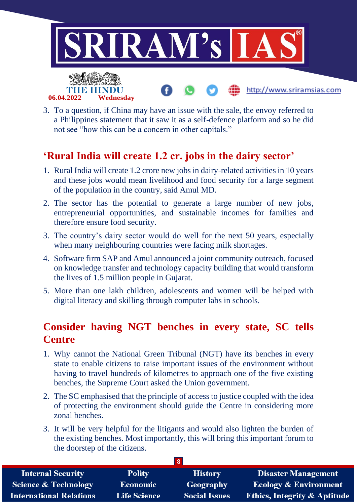

3. To a question, if China may have an issue with the sale, the envoy referred to a Philippines statement that it saw it as a self-defence platform and so he did not see "how this can be a concern in other capitals."

# **'Rural India will create 1.2 cr. jobs in the dairy sector'**

- 1. Rural India will create 1.2 crore new jobs in dairy-related activities in 10 years and these jobs would mean livelihood and food security for a large segment of the population in the country, said Amul MD.
- 2. The sector has the potential to generate a large number of new jobs, entrepreneurial opportunities, and sustainable incomes for families and therefore ensure food security.
- 3. The country's dairy sector would do well for the next 50 years, especially when many neighbouring countries were facing milk shortages.
- 4. Software firm SAP and Amul announced a joint community outreach, focused on knowledge transfer and technology capacity building that would transform the lives of 1.5 million people in Gujarat.
- 5. More than one lakh children, adolescents and women will be helped with digital literacy and skilling through computer labs in schools.

# **Consider having NGT benches in every state, SC tells Centre**

- 1. Why cannot the National Green Tribunal (NGT) have its benches in every state to enable citizens to raise important issues of the environment without having to travel hundreds of kilometres to approach one of the five existing benches, the Supreme Court asked the Union government.
- 2. The SC emphasised that the principle of access to justice coupled with the idea of protecting the environment should guide the Centre in considering more zonal benches.
- 3. It will be very helpful for the litigants and would also lighten the burden of the existing benches. Most importantly, this will bring this important forum to the doorstep of the citizens.

| 8                               |                     |                      |                                         |  |
|---------------------------------|---------------------|----------------------|-----------------------------------------|--|
| <b>Internal Security</b>        | <b>Polity</b>       | <b>History</b>       | <b>Disaster Management</b>              |  |
| <b>Science &amp; Technology</b> | <b>Economic</b>     | Geography            | <b>Ecology &amp; Environment</b>        |  |
| <b>International Relations</b>  | <b>Life Science</b> | <b>Social Issues</b> | <b>Ethics, Integrity &amp; Aptitude</b> |  |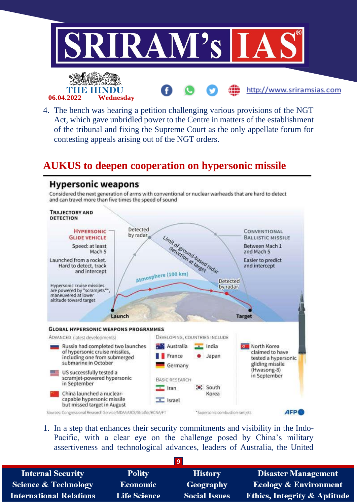

4. The bench was hearing a petition challenging various provisions of the NGT Act, which gave unbridled power to the Centre in matters of the establishment of the tribunal and fixing the Supreme Court as the only appellate forum for contesting appeals arising out of the NGT orders.

## **AUKUS to deepen cooperation on hypersonic missile**

## **Hypersonic weapons**

Considered the next generation of arms with conventional or nuclear warheads that are hard to detect and can travel more than five times the speed of sound



1. In a step that enhances their security commitments and visibility in the Indo-Pacific, with a clear eye on the challenge posed by China's military assertiveness and technological advances, leaders of Australia, the United

| <b>Internal Security</b>        | <b>Polity</b>       | <b>History</b>       | <b>Disaster Management</b>              |
|---------------------------------|---------------------|----------------------|-----------------------------------------|
| <b>Science &amp; Technology</b> | Economic            | Geography            | <b>Ecology &amp; Environment</b>        |
| <b>International Relations</b>  | <b>Life Science</b> | <b>Social Issues</b> | <b>Ethics, Integrity &amp; Aptitude</b> |